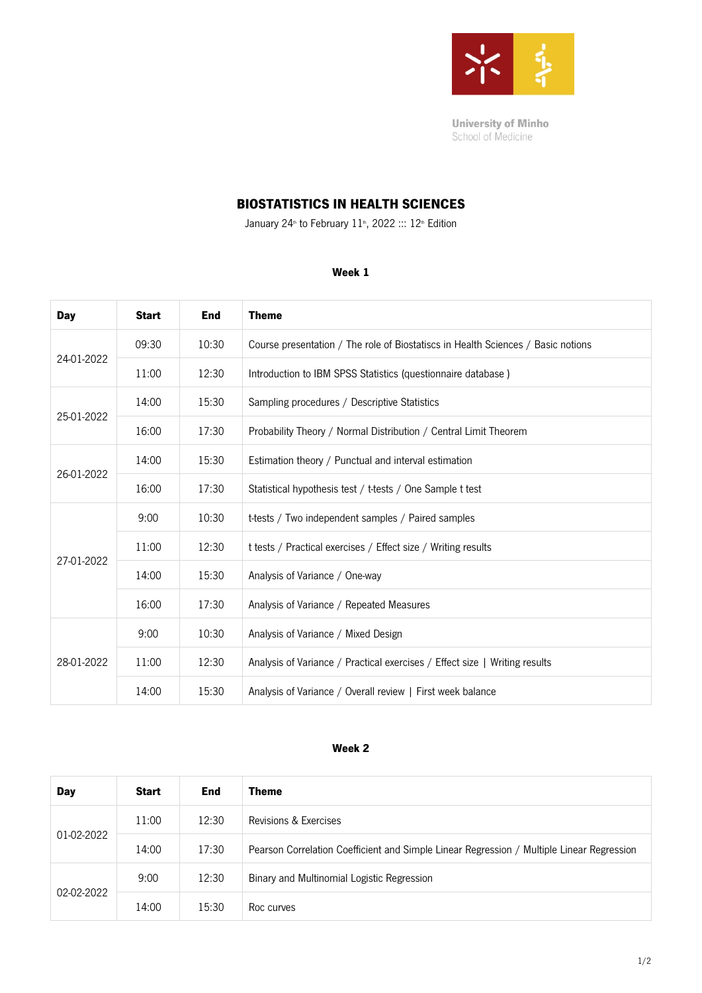

**University of Minho** School of Medicine

# BIOSTATISTICS IN HEALTH SCIENCES

January 24<sup>th</sup> to February 11<sup>th</sup>, 2022 ::: 12<sup>th</sup> Edition

#### Week 1

| Day        | <b>Start</b> | <b>End</b> | <b>Theme</b>                                                                     |
|------------|--------------|------------|----------------------------------------------------------------------------------|
| 24-01-2022 | 09:30        | 10:30      | Course presentation / The role of Biostatiscs in Health Sciences / Basic notions |
|            | 11:00        | 12:30      | Introduction to IBM SPSS Statistics (questionnaire database)                     |
| 25-01-2022 | 14:00        | 15:30      | Sampling procedures / Descriptive Statistics                                     |
|            | 16:00        | 17:30      | Probability Theory / Normal Distribution / Central Limit Theorem                 |
| 26-01-2022 | 14:00        | 15:30      | Estimation theory / Punctual and interval estimation                             |
|            | 16:00        | 17:30      | Statistical hypothesis test / t-tests / One Sample t test                        |
| 27-01-2022 | 9:00         | 10:30      | t-tests / Two independent samples / Paired samples                               |
|            | 11:00        | 12:30      | t tests / Practical exercises / Effect size / Writing results                    |
|            | 14:00        | 15:30      | Analysis of Variance / One-way                                                   |
|            | 16:00        | 17:30      | Analysis of Variance / Repeated Measures                                         |
| 28-01-2022 | 9:00         | 10:30      | Analysis of Variance / Mixed Design                                              |
|            | 11:00        | 12:30      | Analysis of Variance / Practical exercises / Effect size   Writing results       |
|            | 14:00        | 15:30      | Analysis of Variance / Overall review   First week balance                       |

#### Week 2

| Day        | <b>Start</b> | End   | Theme                                                                                     |
|------------|--------------|-------|-------------------------------------------------------------------------------------------|
| 01-02-2022 | 11:00        | 12:30 | Revisions & Exercises                                                                     |
|            | 14:00        | 17:30 | Pearson Correlation Coefficient and Simple Linear Regression / Multiple Linear Regression |
| 02-02-2022 | 9:00         | 12:30 | Binary and Multinomial Logistic Regression                                                |
|            | 14:00        | 15:30 | Roc curves                                                                                |